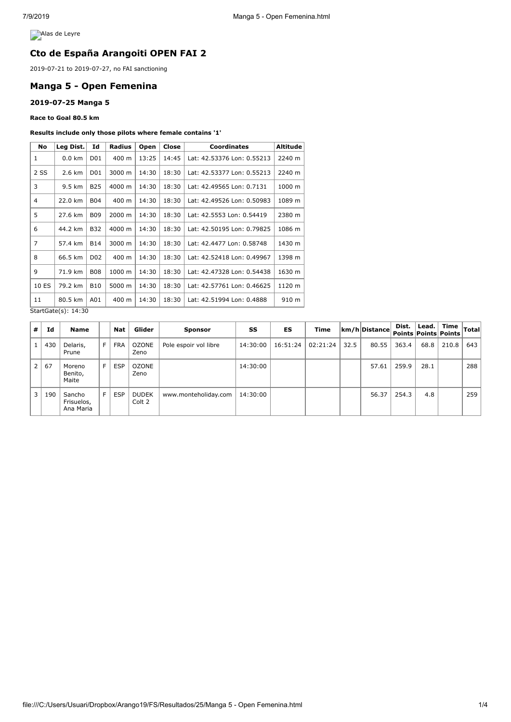**Alas de Leyre** 

# **Cto de España Arangoiti OPEN FAI 2**

2019-07-21 to 2019-07-27, no FAI sanctioning

# **Manga 5 - Open Femenina**

### **2019-07-25 Manga 5**

**Race to Goal 80.5 km**

#### **Results include only those pilots where female contains '1'**

| No             | Leg Dist.        | Id              | Radius | Open  | Close | <b>Coordinates</b>         | Altitude |  |
|----------------|------------------|-----------------|--------|-------|-------|----------------------------|----------|--|
| 1              | $0.0 \text{ km}$ | D01             | 400 m  | 13:25 | 14:45 | Lat: 42.53376 Lon: 0.55213 | 2240 m   |  |
| 2 SS           | 2.6 km           | D <sub>01</sub> | 3000 m | 14:30 | 18:30 | Lat: 42.53377 Lon: 0.55213 | 2240 m   |  |
| 3              | 9.5 km           | <b>B25</b>      | 4000 m | 14:30 | 18:30 | Lat: 42.49565 Lon: 0.7131  | 1000 m   |  |
| 4              | 22.0 km          | <b>B04</b>      | 400 m  | 14:30 | 18:30 | Lat: 42.49526 Lon: 0.50983 | 1089 m   |  |
| 5              | 27.6 km          | <b>B09</b>      | 2000 m | 14:30 | 18:30 | Lat: 42.5553 Lon: 0.54419  | 2380 m   |  |
| 6              | 44.2 km          | <b>B32</b>      | 4000 m | 14:30 | 18:30 | Lat: 42.50195 Lon: 0.79825 | 1086 m   |  |
| $\overline{7}$ | 57.4 km          | <b>B14</b>      | 3000 m | 14:30 | 18:30 | Lat: 42.4477 Lon: 0.58748  | 1430 m   |  |
| 8              | 66.5 km          | D <sub>02</sub> | 400 m  | 14:30 | 18:30 | Lat: 42.52418 Lon: 0.49967 | 1398 m   |  |
| 9              | 71.9 km          | <b>B08</b>      | 1000 m | 14:30 | 18:30 | Lat: 42.47328 Lon: 0.54438 | 1630 m   |  |
| 10 ES          | 79.2 km          | <b>B10</b>      | 5000 m | 14:30 | 18:30 | Lat: 42.57761 Lon: 0.46625 | 1120 m   |  |
| 11             | 80.5 km          | A01             | 400 m  | 14:30 | 18:30 | Lat: 42.51994 Lon: 0.4888  | 910 m    |  |

StartGate(s): 14:30

| #              | Id  | <b>Name</b>                       |   | <b>Nat</b> | Glider                 | <b>Sponsor</b>        | SS       | ES       | Time     |      | $ km/h $ Distance | Dist. |      | $ $ Lead. Time $ $ Total <sup>!</sup><br>Points Points Points |     |
|----------------|-----|-----------------------------------|---|------------|------------------------|-----------------------|----------|----------|----------|------|-------------------|-------|------|---------------------------------------------------------------|-----|
|                | 430 | Delaris,<br>Prune                 | F | <b>FRA</b> | OZONE<br>Zeno          | Pole espoir vol libre | 14:30:00 | 16:51:24 | 02:21:24 | 32.5 | 80.55             | 363.4 | 68.8 | 210.8                                                         | 643 |
| 2 <sup>1</sup> | 67  | Moreno<br>Benito,<br>Maite        | F | <b>ESP</b> | OZONE<br>Zeno          |                       | 14:30:00 |          |          |      | 57.61             | 259.9 | 28.1 |                                                               | 288 |
| 3 <sup>1</sup> | 190 | Sancho<br>Frisuelos,<br>Ana Maria | F | <b>ESP</b> | <b>DUDEK</b><br>Colt 2 | www.monteholiday.com  | 14:30:00 |          |          |      | 56.37             | 254.3 | 4.8  |                                                               | 259 |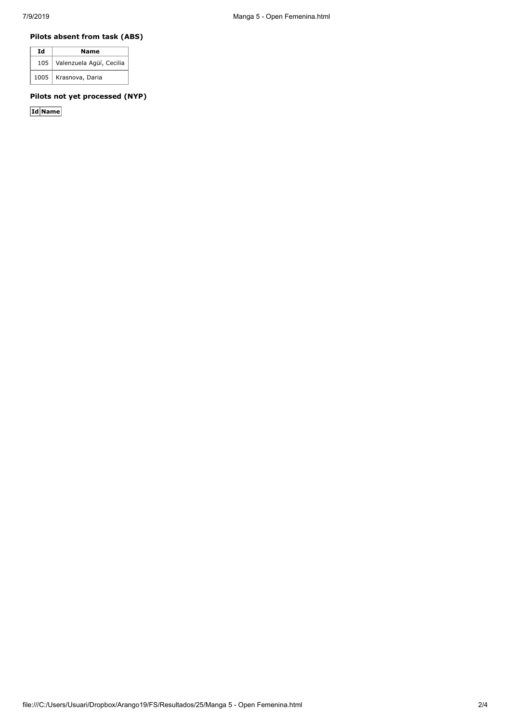## **Pilots absent from task (ABS)**

| Ιd | Name                         |  |  |  |  |
|----|------------------------------|--|--|--|--|
|    | 105 Valenzuela Agüí, Cecilia |  |  |  |  |
|    | 1005   Krasnova, Daria       |  |  |  |  |

## **Pilots not yet processed (NYP)**

**Id Name**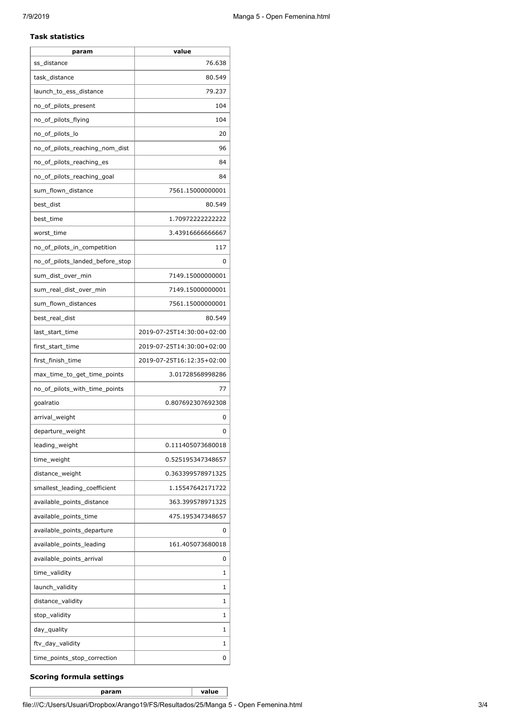### **Task statistics**

| param                           | value                     |
|---------------------------------|---------------------------|
| ss distance                     | 76.638                    |
| task_distance                   | 80.549                    |
| launch_to_ess_distance          | 79.237                    |
| no_of_pilots_present            | 104                       |
| no_of_pilots_flying             | 104                       |
| no_of_pilots_lo                 | 20                        |
| no_of_pilots_reaching_nom_dist  | 96                        |
| no_of_pilots_reaching_es        | 84                        |
| no_of_pilots_reaching_goal      | 84                        |
| sum_flown_distance              | 7561.15000000001          |
| best_dist                       | 80.549                    |
| best_time                       | 1.709722222222222         |
| worst_time                      | 3.43916666666667          |
| no_of_pilots_in_competition     | 117                       |
| no_of_pilots_landed_before_stop | 0                         |
| sum_dist_over_min               | 7149.15000000001          |
| sum_real_dist_over_min          | 7149.15000000001          |
| sum_flown_distances             | 7561.15000000001          |
| best_real_dist                  | 80.549                    |
| last_start_time                 | 2019-07-25T14:30:00+02:00 |
| first_start_time                | 2019-07-25T14:30:00+02:00 |
| first_finish_time               | 2019-07-25T16:12:35+02:00 |
| max_time_to_get_time_points     | 3.01728568998286          |
| no_of_pilots_with_time_points   | 77                        |
| goalratio                       | 0.807692307692308         |
| arrival_weight                  | 0                         |
| departure_weight                | $\Omega$                  |
| leading_weight                  | 0.111405073680018         |
| time_weight                     | 0.525195347348657         |
| distance_weight                 | 0.363399578971325         |
| smallest_leading_coefficient    | 1.15547642171722          |
| available_points_distance       | 363.399578971325          |
| available_points_time           | 475.195347348657          |
| available_points_departure      | 0                         |
| available_points_leading        | 161.405073680018          |
| available_points_arrival        | 0                         |
| time_validity                   | 1                         |
| launch_validity                 | 1                         |
| distance_validity               | 1                         |
| stop_validity                   | 1                         |
| day_quality                     | 1                         |
| ftv_day_validity                | 1                         |
| time_points_stop_correction     | 0                         |

## **Scoring formula settings**

**param value**